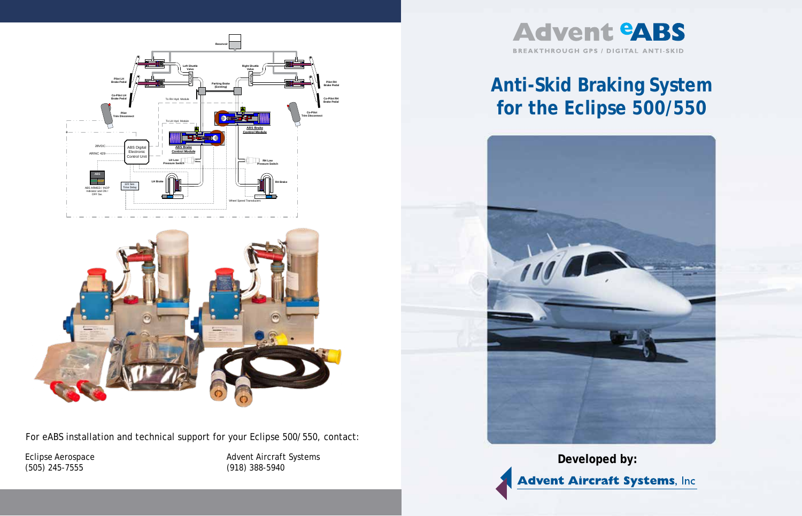

# **Anti-Skid Braking System for the Eclipse 500/550**



**Developed by:** 

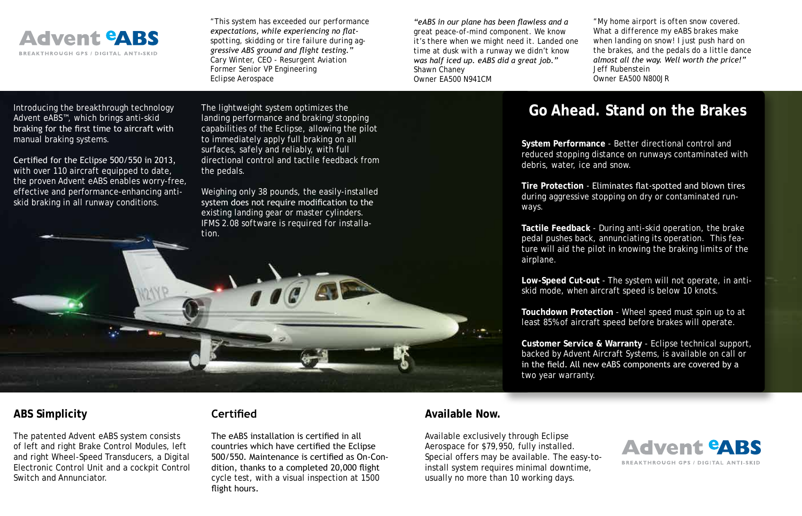

*"This system has exceeded our performance expectations, while experiencing no flatspotting, skidding or tire failure during aggressive ABS ground and flight testing." Cary Winter, CEO - Resurgent Aviation Former Senior VP Engineering Eclipse Aerospace*

*"eABS in our plane has been flawless and a great peace-of-mind component. We know it's there when we might need it. Landed one time at dusk with a runway we didn't know was half iced up. eABS did a great job." Shawn Chaney Owner EA500 N941CM*

*"My home airport is often snow covered. What a difference my eABS brakes make when landing on snow! I just push hard on the brakes, and the pedals do a little dance almost all the way. Well worth the price!" Jeff Rubenstein Owner EA500 N800JR*

Introducing the breakthrough technology Advent eABS™, which brings anti-skid braking for the first time to aircraft with manual braking systems.

Certified for the Eclipse 500/550 in 2013, with over 110 aircraft equipped to date, the proven Advent eABS enables worry-free, effective and performance-enhancing antiskid braking in all runway conditions.

The lightweight system optimizes the landing performance and braking/stopping capabilities of the Eclipse, allowing the pilot to immediately apply full braking on all surfaces, safely and reliably, with full directional control and tactile feedback from the pedals.

Weighing only 38 pounds, the easily-installed system does not require modification to the existing landing gear or master cylinders. *IFMS 2.08 software is required for installa-*



### **ABS Simplicity**

The patented Advent eABS system consists of left and right Brake Control Modules, left and right Wheel-Speed Transducers, a Digital Electronic Control Unit and a cockpit Control Switch and Annunciator.

### **Certified**

The eABS installation is certified in all countries which have certified the Eclipse 500/550. Maintenance is certified as On-Condition, thanks to a completed 20,000 flight cycle test, with a visual inspection at 1500 flight hours.

## **Go Ahead. Stand on the Brakes**

**System Performance** - Better directional control and reduced stopping distance on runways contaminated with debris, water, ice and snow.

**Tire Protection** - Eliminates flat-spotted and blown tires during aggressive stopping on dry or contaminated runways.

**Tactile Feedback** - During anti-skid operation, the brake pedal pushes back, annunciating its operation. This feature will aid the pilot in knowing the braking limits of the airplane.

**Low-Speed Cut-out** - The system will not operate, in antiskid mode, when aircraft speed is below 10 knots.

**Touchdown Protection** - Wheel speed must spin up to at least 85% of aircraft speed before brakes will operate.

**Customer Service & Warranty** - Eclipse technical support, backed by Advent Aircraft Systems, is available on call or in the field. All new eABS components are covered by a two year warranty.

#### **Available Now.**

Available exclusively through Eclipse Aerospace for \$79,950, fully installed. Special offers may be available. The easy-toinstall system requires minimal downtime, usually no more than 10 working days.